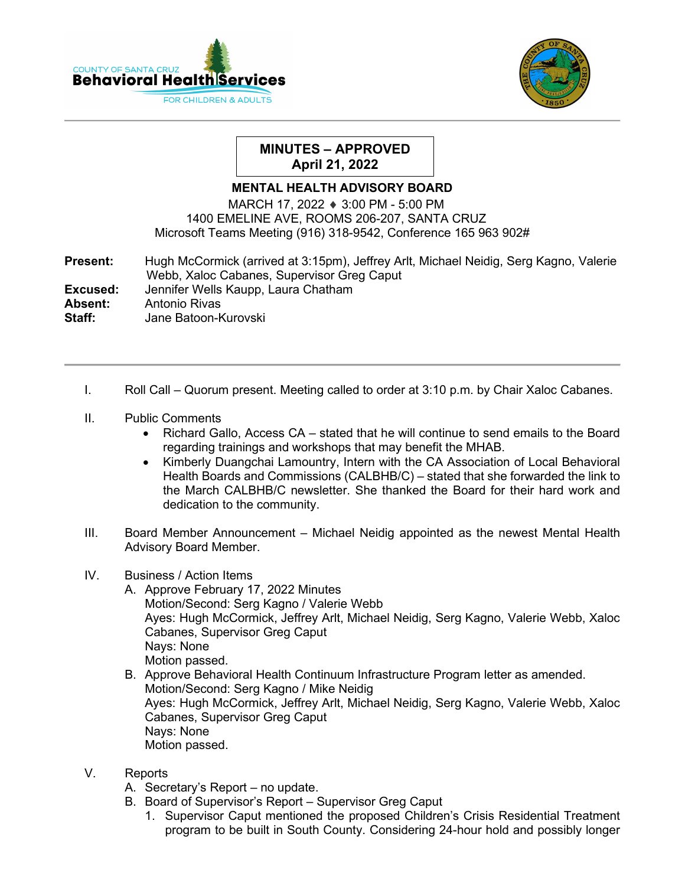



## **MINUTES – APPROVED April 21, 2022**

## **MENTAL HEALTH ADVISORY BOARD**

MARCH 17, 2022 ♦ 3:00 PM - 5:00 PM 1400 EMELINE AVE, ROOMS 206-207, SANTA CRUZ Microsoft Teams Meeting (916) 318-9542, Conference 165 963 902#

| <b>Present:</b> | Hugh McCormick (arrived at 3:15pm), Jeffrey Arlt, Michael Neidig, Serg Kagno, Valerie<br>Webb, Xaloc Cabanes, Supervisor Greg Caput |
|-----------------|-------------------------------------------------------------------------------------------------------------------------------------|
|                 |                                                                                                                                     |
| Excused:        | Jennifer Wells Kaupp, Laura Chatham                                                                                                 |
| Absent:         | Antonio Rivas                                                                                                                       |
| Staff:          | Jane Batoon-Kurovski                                                                                                                |

- I. Roll Call Quorum present. Meeting called to order at 3:10 p.m. by Chair Xaloc Cabanes.
- II. Public Comments
	- Richard Gallo, Access CA stated that he will continue to send emails to the Board regarding trainings and workshops that may benefit the MHAB.
	- Kimberly Duangchai Lamountry, Intern with the CA Association of Local Behavioral Health Boards and Commissions (CALBHB/C) – stated that she forwarded the link to the March CALBHB/C newsletter. She thanked the Board for their hard work and dedication to the community.
- III. Board Member Announcement Michael Neidig appointed as the newest Mental Health Advisory Board Member.
- IV. Business / Action Items
	- A. Approve February 17, 2022 Minutes Motion/Second: Serg Kagno / Valerie Webb Ayes: Hugh McCormick, Jeffrey Arlt, Michael Neidig, Serg Kagno, Valerie Webb, Xaloc Cabanes, Supervisor Greg Caput Nays: None Motion passed.
	- B. Approve Behavioral Health Continuum Infrastructure Program letter as amended. Motion/Second: Serg Kagno / Mike Neidig Ayes: Hugh McCormick, Jeffrey Arlt, Michael Neidig, Serg Kagno, Valerie Webb, Xaloc Cabanes, Supervisor Greg Caput Nays: None Motion passed.
- V. Reports
	- A. Secretary's Report no update.
	- B. Board of Supervisor's Report Supervisor Greg Caput
		- 1. Supervisor Caput mentioned the proposed Children's Crisis Residential Treatment program to be built in South County. Considering 24-hour hold and possibly longer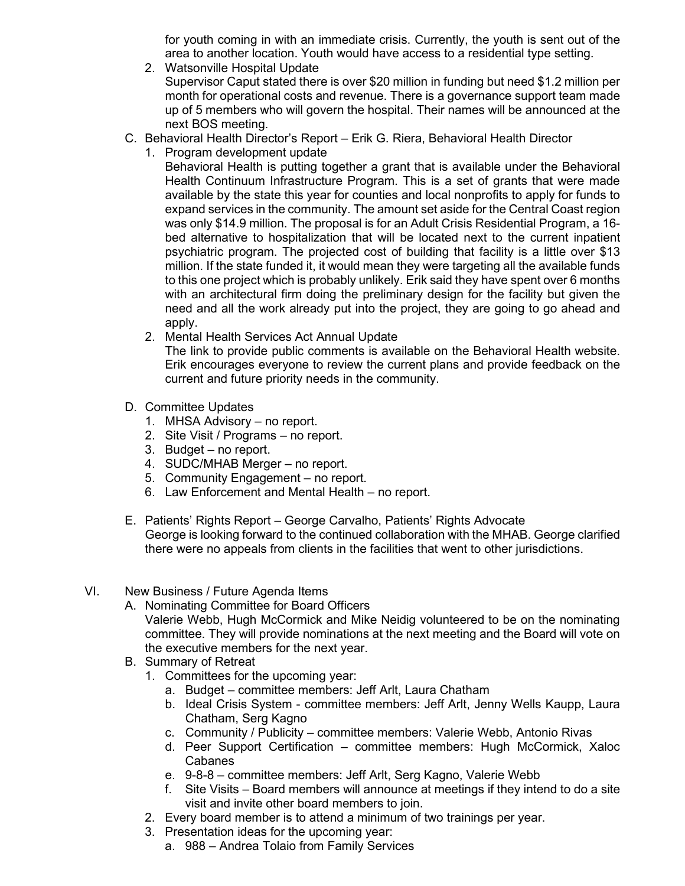for youth coming in with an immediate crisis. Currently, the youth is sent out of the area to another location. Youth would have access to a residential type setting.

2. Watsonville Hospital Update

Supervisor Caput stated there is over \$20 million in funding but need \$1.2 million per month for operational costs and revenue. There is a governance support team made up of 5 members who will govern the hospital. Their names will be announced at the next BOS meeting.

- C. Behavioral Health Director's Report Erik G. Riera, Behavioral Health Director
	- 1. Program development update

Behavioral Health is putting together a grant that is available under the Behavioral Health Continuum Infrastructure Program. This is a set of grants that were made available by the state this year for counties and local nonprofits to apply for funds to expand services in the community. The amount set aside for the Central Coast region was only \$14.9 million. The proposal is for an Adult Crisis Residential Program, a 16 bed alternative to hospitalization that will be located next to the current inpatient psychiatric program. The projected cost of building that facility is a little over \$13 million. If the state funded it, it would mean they were targeting all the available funds to this one project which is probably unlikely. Erik said they have spent over 6 months with an architectural firm doing the preliminary design for the facility but given the need and all the work already put into the project, they are going to go ahead and apply.

2. Mental Health Services Act Annual Update

The link to provide public comments is available on the Behavioral Health website. Erik encourages everyone to review the current plans and provide feedback on the current and future priority needs in the community.

- D. Committee Updates
	- 1. MHSA Advisory no report.
	- 2. Site Visit / Programs no report.
	- 3. Budget no report.
	- 4. SUDC/MHAB Merger no report.
	- 5. Community Engagement no report.
	- 6. Law Enforcement and Mental Health no report.
- E. Patients' Rights Report George Carvalho, Patients' Rights Advocate George is looking forward to the continued collaboration with the MHAB. George clarified there were no appeals from clients in the facilities that went to other jurisdictions.
- VI. New Business / Future Agenda Items
	- A. Nominating Committee for Board Officers Valerie Webb, Hugh McCormick and Mike Neidig volunteered to be on the nominating committee. They will provide nominations at the next meeting and the Board will vote on the executive members for the next year.
	- B. Summary of Retreat
		- 1. Committees for the upcoming year:
			- a. Budget committee members: Jeff Arlt, Laura Chatham
			- b. Ideal Crisis System committee members: Jeff Arlt, Jenny Wells Kaupp, Laura Chatham, Serg Kagno
			- c. Community / Publicity committee members: Valerie Webb, Antonio Rivas
			- d. Peer Support Certification committee members: Hugh McCormick, Xaloc Cabanes
			- e. 9-8-8 committee members: Jeff Arlt, Serg Kagno, Valerie Webb
			- f. Site Visits Board members will announce at meetings if they intend to do a site visit and invite other board members to join.
		- 2. Every board member is to attend a minimum of two trainings per year.
		- 3. Presentation ideas for the upcoming year:
			- a. 988 Andrea Tolaio from Family Services